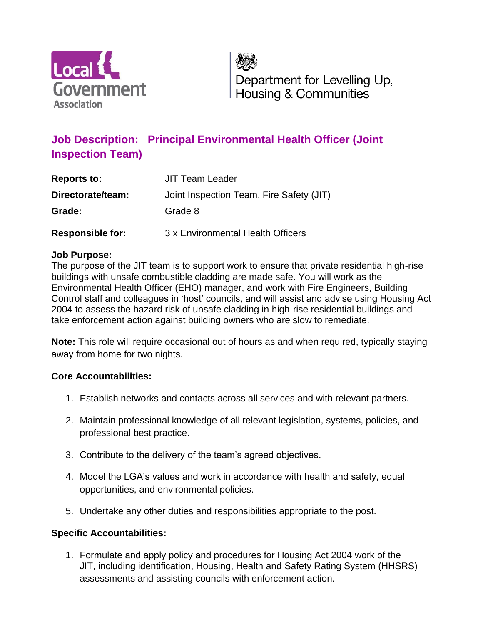

Department for Levelling Up, Housing & Communities

# **Job Description: Principal Environmental Health Officer (Joint Inspection Team)**

| <b>Reports to:</b>      | <b>JIT Team Leader</b>                   |
|-------------------------|------------------------------------------|
| Directorate/team:       | Joint Inspection Team, Fire Safety (JIT) |
| Grade:                  | Grade 8                                  |
| <b>Responsible for:</b> | 3 x Environmental Health Officers        |

#### **Job Purpose:**

The purpose of the JIT team is to support work to ensure that private residential high-rise buildings with unsafe combustible cladding are made safe. You will work as the Environmental Health Officer (EHO) manager, and work with Fire Engineers, Building Control staff and colleagues in 'host' councils, and will assist and advise using Housing Act 2004 to assess the hazard risk of unsafe cladding in high-rise residential buildings and take enforcement action against building owners who are slow to remediate.

**Note:** This role will require occasional out of hours as and when required, typically staying away from home for two nights.

#### **Core Accountabilities:**

- 1. Establish networks and contacts across all services and with relevant partners.
- 2. Maintain professional knowledge of all relevant legislation, systems, policies, and professional best practice.
- 3. Contribute to the delivery of the team's agreed objectives.
- 4. Model the LGA's values and work in accordance with health and safety, equal opportunities, and environmental policies.
- 5. Undertake any other duties and responsibilities appropriate to the post.

## **Specific Accountabilities:**

1. Formulate and apply policy and procedures for Housing Act 2004 work of the JIT, including identification, Housing, Health and Safety Rating System (HHSRS) assessments and assisting councils with enforcement action.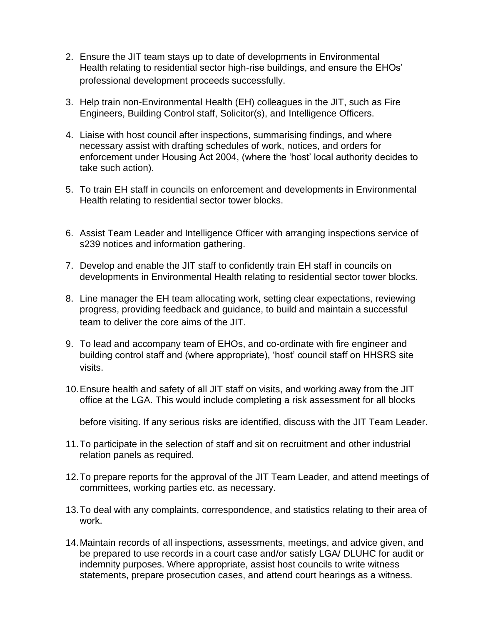- 2. Ensure the JIT team stays up to date of developments in Environmental Health relating to residential sector high-rise buildings, and ensure the EHOs' professional development proceeds successfully.
- 3. Help train non-Environmental Health (EH) colleagues in the JIT, such as Fire Engineers, Building Control staff, Solicitor(s), and Intelligence Officers.
- 4. Liaise with host council after inspections, summarising findings, and where necessary assist with drafting schedules of work, notices, and orders for enforcement under Housing Act 2004, (where the 'host' local authority decides to take such action).
- 5. To train EH staff in councils on enforcement and developments in Environmental Health relating to residential sector tower blocks.
- 6. Assist Team Leader and Intelligence Officer with arranging inspections service of s239 notices and information gathering.
- 7. Develop and enable the JIT staff to confidently train EH staff in councils on developments in Environmental Health relating to residential sector tower blocks.
- 8. Line manager the EH team allocating work, setting clear expectations, reviewing progress, providing feedback and guidance, to build and maintain a successful team to deliver the core aims of the JIT.
- 9. To lead and accompany team of EHOs, and co-ordinate with fire engineer and building control staff and (where appropriate), 'host' council staff on HHSRS site visits.
- 10.Ensure health and safety of all JIT staff on visits, and working away from the JIT office at the LGA. This would include completing a risk assessment for all blocks

before visiting. If any serious risks are identified, discuss with the JIT Team Leader.

- 11.To participate in the selection of staff and sit on recruitment and other industrial relation panels as required.
- 12.To prepare reports for the approval of the JIT Team Leader, and attend meetings of committees, working parties etc. as necessary.
- 13.To deal with any complaints, correspondence, and statistics relating to their area of work.
- 14.Maintain records of all inspections, assessments, meetings, and advice given, and be prepared to use records in a court case and/or satisfy LGA/ DLUHC for audit or indemnity purposes. Where appropriate, assist host councils to write witness statements, prepare prosecution cases, and attend court hearings as a witness.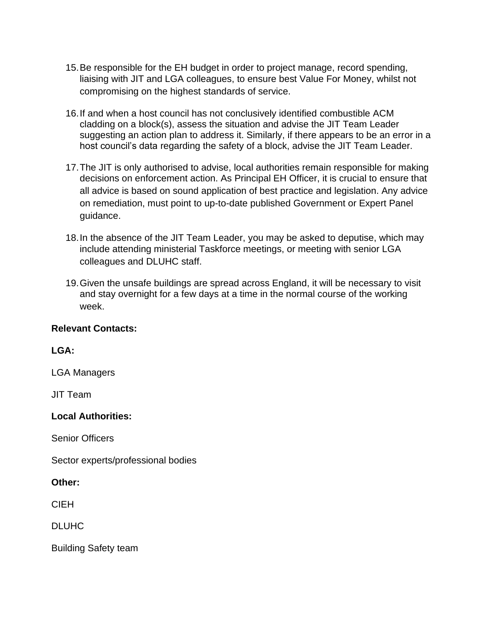- 15.Be responsible for the EH budget in order to project manage, record spending, liaising with JIT and LGA colleagues, to ensure best Value For Money, whilst not compromising on the highest standards of service.
- 16.If and when a host council has not conclusively identified combustible ACM cladding on a block(s), assess the situation and advise the JIT Team Leader suggesting an action plan to address it. Similarly, if there appears to be an error in a host council's data regarding the safety of a block, advise the JIT Team Leader.
- 17.The JIT is only authorised to advise, local authorities remain responsible for making decisions on enforcement action. As Principal EH Officer, it is crucial to ensure that all advice is based on sound application of best practice and legislation. Any advice on remediation, must point to up-to-date published Government or Expert Panel guidance.
- 18.In the absence of the JIT Team Leader, you may be asked to deputise, which may include attending ministerial Taskforce meetings, or meeting with senior LGA colleagues and DLUHC staff.
- 19.Given the unsafe buildings are spread across England, it will be necessary to visit and stay overnight for a few days at a time in the normal course of the working week.

## **Relevant Contacts:**

**LGA:**

LGA Managers

JIT Team

#### **Local Authorities:**

Senior Officers

Sector experts/professional bodies

**Other:**

CIEH

DLUHC

Building Safety team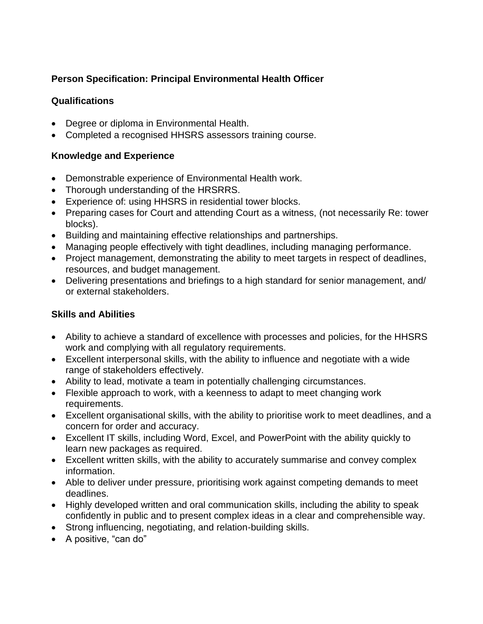# **Person Specification: Principal Environmental Health Officer**

# **Qualifications**

- Degree or diploma in Environmental Health.
- Completed a recognised HHSRS assessors training course.

## **Knowledge and Experience**

- Demonstrable experience of Environmental Health work.
- Thorough understanding of the HRSRRS.
- Experience of: using HHSRS in residential tower blocks.
- Preparing cases for Court and attending Court as a witness, (not necessarily Re: tower blocks).
- Building and maintaining effective relationships and partnerships.
- Managing people effectively with tight deadlines, including managing performance.
- Project management, demonstrating the ability to meet targets in respect of deadlines, resources, and budget management.
- Delivering presentations and briefings to a high standard for senior management, and/ or external stakeholders.

# **Skills and Abilities**

- Ability to achieve a standard of excellence with processes and policies, for the HHSRS work and complying with all regulatory requirements.
- Excellent interpersonal skills, with the ability to influence and negotiate with a wide range of stakeholders effectively.
- Ability to lead, motivate a team in potentially challenging circumstances.
- Flexible approach to work, with a keenness to adapt to meet changing work requirements.
- Excellent organisational skills, with the ability to prioritise work to meet deadlines, and a concern for order and accuracy.
- Excellent IT skills, including Word, Excel, and PowerPoint with the ability quickly to learn new packages as required.
- Excellent written skills, with the ability to accurately summarise and convey complex information.
- Able to deliver under pressure, prioritising work against competing demands to meet deadlines.
- Highly developed written and oral communication skills, including the ability to speak confidently in public and to present complex ideas in a clear and comprehensible way.
- Strong influencing, negotiating, and relation-building skills.
- A positive, "can do"